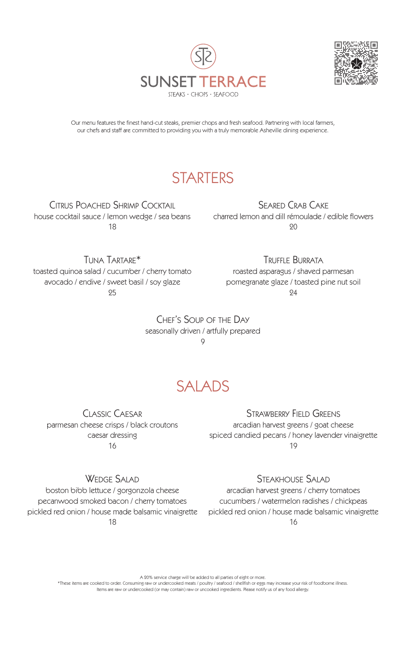



Our menu features the finest hand-cut steaks, premier chops and fresh seafood. Partnering with local farmers, our chefs and staff are committed to providing you with a truly memorable Asheville dining experience.

## **STARTERS**

Citrus Poached Shrimp Cocktail house cocktail sauce / lemon wedge / sea beans 18

Seared Crab Cake charred lemon and dill rémoulade / edible flowers 20

Tuna Tartare\* toasted quinoa salad / cucumber / cherry tomato avocado / endive / sweet basil / soy glaze 95

Truffle Burrata roasted asparagus / shaved parmesan pomegranate glaze / toasted pine nut soil 94

Chef's Soup of the Day seasonally driven / artfully prepared 9

# SALADS

Classic Caesar parmesan cheese crisps / black croutons caesar dressing 16

WEDGE SALAD

boston bibb lettuce / gorgonzola cheese pecanwood smoked bacon / cherry tomatoes pickled red onion / house made balsamic vinaigrette 18

#### Strawberry Field Greens

arcadian harvest greens / goat cheese spiced candied pecans / honey lavender vinaigrette 19

Steakhouse Salad

arcadian harvest greens / cherry tomatoes cucumbers / watermelon radishes / chickpeas pickled red onion / house made balsamic vinaigrette 16

A 20% service charge will be added to all parties of eight or more.

\*These items are cooked to order. Consuming raw or undercooked meats / poultry / seafood / shellfish or eggs may increase your risk of foodborne illness. Items are raw or undercooked (or may contain) raw or uncooked ingredients. Please notify us of any food allergy.